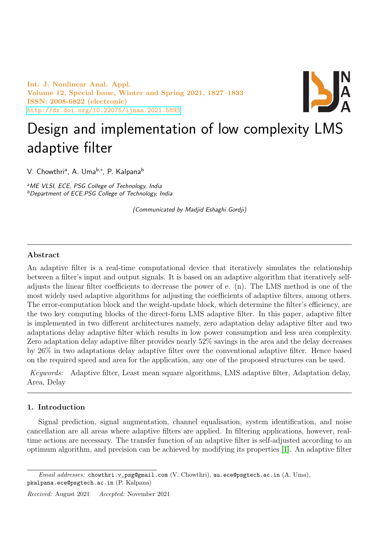Int. J. Nonlinear Anal. Appl. Volume 12, Special Issue, Winter and Spring 2021, 1827–1833 ISSN: 2008-6822 (electronic) <http://dx.doi.org/10.22075/ijnaa.2021.5893>



# Design and implementation of low complexity LMS adaptive filter

V. Chowthri<sup>a</sup>, A. Uma<sup>b,</sup>\*, P. Kalpana<sup>b</sup>

<sup>a</sup>ME VLSI, ECE, PSG College of Technology, India <sup>b</sup>Department of ECE,PSG College of Technology, India

(Communicated by Madjid Eshaghi Gordji)

# Abstract

An adaptive filter is a real-time computational device that iteratively simulates the relationship between a filter's input and output signals. It is based on an adaptive algorithm that iteratively selfadjusts the linear filter coefficients to decrease the power of e. (n). The LMS method is one of the most widely used adaptive algorithms for adjusting the coefficients of adaptive filters, among others. The error-computation block and the weight-update block, which determine the filter's efficiency, are the two key computing blocks of the direct-form LMS adaptive filter. In this paper, adaptive filter is implemented in two different architectures namely, zero adaptation delay adaptive filter and two adaptations delay adaptive filter which results in low power consumption and less area complexity. Zero adaptation delay adaptive filter provides nearly 52% savings in the area and the delay decreases by 26% in two adaptations delay adaptive filter over the conventional adaptive filter. Hence based on the required speed and area for the application, any one of the proposed structures can be used.

Keywords: Adaptive filter, Least mean square algorithms, LMS adaptive filter, Adaptation delay, Area, Delay

# 1. Introduction

Signal prediction, signal augmentation, channel equalisation, system identification, and noise cancellation are all areas where adaptive filters are applied. In filtering applications, however, realtime actions are necessary. The transfer function of an adaptive filter is self-adjusted according to an optimum algorithm, and precision can be achieved by modifying its properties [\[1\]](#page-6-0). An adaptive filter

*Email addresses:* chowthri.v\_psg@gmail.com (V. Chowthri), au.ece@psgtech.ac.in (A. Uma), pkalpana.ece@psgtech.ac.in (P. Kalpana)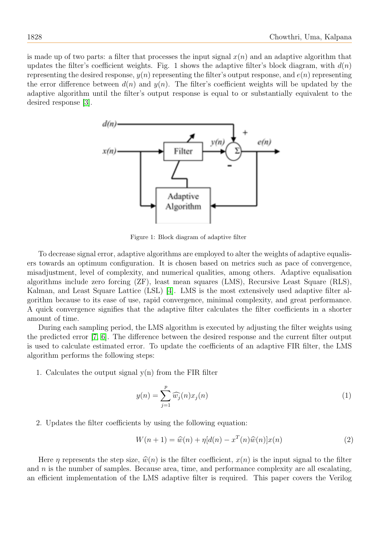is made up of two parts: a filter that processes the input signal  $x(n)$  and an adaptive algorithm that updates the filter's coefficient weights. Fig. 1 shows the adaptive filter's block diagram, with  $d(n)$ representing the desired response,  $y(n)$  representing the filter's output response, and  $e(n)$  representing the error difference between  $d(n)$  and  $y(n)$ . The filter's coefficient weights will be updated by the adaptive algorithm until the filter's output response is equal to or substantially equivalent to the desired response [\[3\]](#page-6-1).



Figure 1: Block diagram of adaptive filter

To decrease signal error, adaptive algorithms are employed to alter the weights of adaptive equalisers towards an optimum configuration. It is chosen based on metrics such as pace of convergence, misadjustment, level of complexity, and numerical qualities, among others. Adaptive equalisation algorithms include zero forcing (ZF), least mean squares (LMS), Recursive Least Square (RLS), Kalman, and Least Square Lattice (LSL) [\[4\]](#page-6-2). LMS is the most extensively used adaptive filter algorithm because to its ease of use, rapid convergence, minimal complexity, and great performance. A quick convergence signifies that the adaptive filter calculates the filter coefficients in a shorter amount of time.

During each sampling period, the LMS algorithm is executed by adjusting the filter weights using the predicted error [\[7,](#page-6-3) [6\]](#page-6-4). The difference between the desired response and the current filter output is used to calculate estimated error. To update the coefficients of an adaptive FIR filter, the LMS algorithm performs the following steps:

1. Calculates the output signal  $v(n)$  from the FIR filter

$$
y(n) = \sum_{j=1}^{p} \widehat{w_j}(n)x_j(n)
$$
 (1)

2. Updates the filter coefficients by using the following equation:

$$
W(n+1) = \widehat{w}(n) + \eta [d(n) - x^T(n)\widehat{w}(n)]x(n)
$$
\n(2)

Here  $\eta$  represents the step size,  $\hat{w}(n)$  is the filter coefficient,  $x(n)$  is the input signal to the filter and  $n$  is the number of samples. Because area, time, and performance complexity are all escalating, an efficient implementation of the LMS adaptive filter is required. This paper covers the Verilog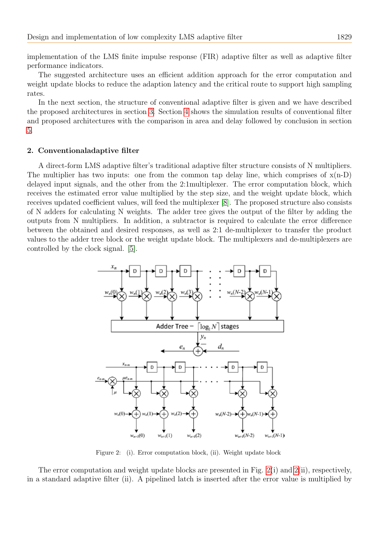implementation of the LMS finite impulse response (FIR) adaptive filter as well as adaptive filter performance indicators.

The suggested architecture uses an efficient addition approach for the error computation and weight update blocks to reduce the adaption latency and the critical route to support high sampling rates.

In the next section, the structure of conventional adaptive filter is given and we have described the proposed architectures in section [3.](#page-3-0) Section [4](#page-4-0) shows the simulation results of conventional filter and proposed architectures with the comparison in area and delay followed by conclusion in section [5.](#page-5-0)

# 2. Conventionaladaptive filter

A direct-form LMS adaptive filter's traditional adaptive filter structure consists of N multipliers. The multiplier has two inputs: one from the common tap delay line, which comprises of  $x(n-D)$ delayed input signals, and the other from the 2:1multiplexer. The error computation block, which receives the estimated error value multiplied by the step size, and the weight update block, which receives updated coefficient values, will feed the multiplexer [\[8\]](#page-6-5). The proposed structure also consists of N adders for calculating N weights. The adder tree gives the output of the filter by adding the outputs from N multipliers. In addition, a subtractor is required to calculate the error difference between the obtained and desired responses, as well as 2:1 de-multiplexer to transfer the product values to the adder tree block or the weight update block. The multiplexers and de-multiplexers are controlled by the clock signal. [\[5\]](#page-6-6).



<span id="page-2-0"></span>Figure 2: (i). Error computation block, (ii). Weight update block

The error computation and weight update blocks are presented in Fig. [2\(](#page-2-0)i) and [2\(](#page-2-0)ii), respectively, in a standard adaptive filter (ii). A pipelined latch is inserted after the error value is multiplied by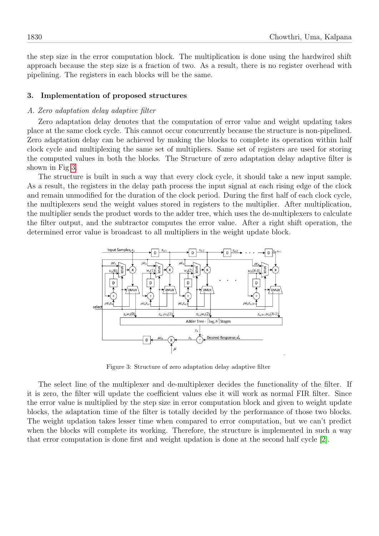the step size in the error computation block. The multiplication is done using the hardwired shift approach because the step size is a fraction of two. As a result, there is no register overhead with pipelining. The registers in each blocks will be the same.

### <span id="page-3-0"></span>3. Implementation of proposed structures

#### A. Zero adaptation delay adaptive filter

Zero adaptation delay denotes that the computation of error value and weight updating takes place at the same clock cycle. This cannot occur concurrently because the structure is non-pipelined. Zero adaptation delay can be achieved by making the blocks to complete its operation within half clock cycle and multiplexing the same set of multipliers. Same set of registers are used for storing the computed values in both the blocks. The Structure of zero adaptation delay adaptive filter is shown in Fig [3.](#page-3-1)

The structure is built in such a way that every clock cycle, it should take a new input sample. As a result, the registers in the delay path process the input signal at each rising edge of the clock and remain unmodified for the duration of the clock period. During the first half of each clock cycle, the multiplexers send the weight values stored in registers to the multiplier. After multiplication, the multiplier sends the product words to the adder tree, which uses the de-multiplexers to calculate the filter output, and the subtractor computes the error value. After a right shift operation, the determined error value is broadcast to all multipliers in the weight update block.



<span id="page-3-1"></span>Figure 3: Structure of zero adaptation delay adaptive filter

The select line of the multiplexer and de-multiplexer decides the functionality of the filter. If it is zero, the filter will update the coefficient values else it will work as normal FIR filter. Since the error value is multiplied by the step size in error computation block and given to weight update blocks, the adaptation time of the filter is totally decided by the performance of those two blocks. The weight updation takes lesser time when compared to error computation, but we can't predict when the blocks will complete its working. Therefore, the structure is implemented in such a way that error computation is done first and weight updation is done at the second half cycle [\[2\]](#page-6-7).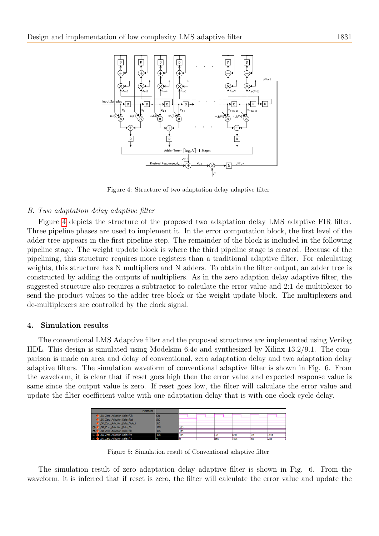

<span id="page-4-1"></span>Figure 4: Structure of two adaptation delay adaptive filter

## B. Two adaptation delay adaptive filter

Figure [4](#page-4-1) depicts the structure of the proposed two adaptation delay LMS adaptive FIR filter. Three pipeline phases are used to implement it. In the error computation block, the first level of the adder tree appears in the first pipeline step. The remainder of the block is included in the following pipeline stage. The weight update block is where the third pipeline stage is created. Because of the pipelining, this structure requires more registers than a traditional adaptive filter. For calculating weights, this structure has N multipliers and N adders. To obtain the filter output, an adder tree is constructed by adding the outputs of multipliers. As in the zero adaption delay adaptive filter, the suggested structure also requires a subtractor to calculate the error value and 2:1 de-multiplexer to send the product values to the adder tree block or the weight update block. The multiplexers and de-multiplexers are controlled by the clock signal.

## <span id="page-4-0"></span>4. Simulation results

The conventional LMS Adaptive filter and the proposed structures are implemented using Verilog HDL. This design is simulated using Modelsim 6.4c and synthesized by Xilinx 13.2/9.1. The comparison is made on area and delay of conventional, zero adaptation delay and two adaptation delay adaptive filters. The simulation waveform of conventional adaptive filter is shown in Fig. 6. From the waveform, it is clear that if reset goes high then the error value and expected response value is same since the output value is zero. If reset goes low, the filter will calculate the error value and update the filter coefficient value with one adaptation delay that is with one clock cycle delay.



Figure 5: Simulation result of Conventional adaptive filter

The simulation result of zero adaptation delay adaptive filter is shown in Fig. 6. From the waveform, it is inferred that if reset is zero, the filter will calculate the error value and update the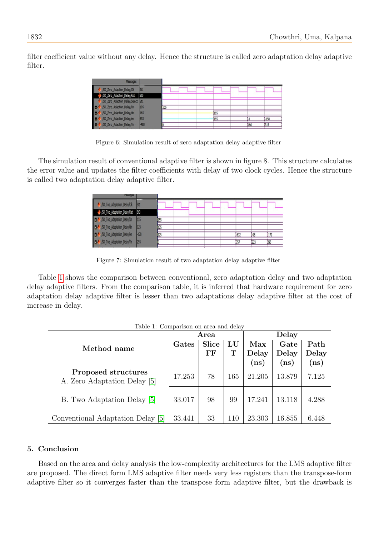filter coefficient value without any delay. Hence the structure is called zero adaptation delay adaptive filter.

| <b>Messages</b>                       |        |     |  |     |     |        |
|---------------------------------------|--------|-----|--|-----|-----|--------|
| /SD_Zero_Adaption_Delay/Clk           | St1    |     |  |     |     |        |
| SD_Zero_Adaption_Delay/Rst            | St0    |     |  |     |     |        |
| /SD_Zero_Adaption_Delay/Select St1    |        |     |  |     |     |        |
| SD_Zero_Adaption_Delay/Xn             | 105    | 105 |  |     |     |        |
| <b>D-4</b> /SD_Zero_Adaption_Delay/dn | 165    |     |  | 165 |     |        |
| 50_Zero_Adaption_Delay/en             | 653    |     |  | 165 |     | $-150$ |
| 50_2ero_Adaption_Delay/Yn             | $-488$ |     |  |     | 166 | 315    |

Figure 6: Simulation result of zero adaptation delay adaptive filter

The simulation result of conventional adaptive filter is shown in figure 8. This structure calculates the error value and updates the filter coefficients with delay of two clock cycles. Hence the structure is called two adaptation delay adaptive filter.

| 50_Two_Adaptation_Delay/Clk                 | <b>St1</b> |     |  |  |      |      |         |
|---------------------------------------------|------------|-----|--|--|------|------|---------|
| SD_Two_Adaptation_Delay/Rst                 | <b>StD</b> |     |  |  |      |      |         |
| D- <sup>4</sup> /SD_Two_Adaptation_Delay/Xn | 155        | 155 |  |  |      |      |         |
| B- <sup>4</sup> /SD_Two_Adaptation_Delay/dn | 125        | 125 |  |  |      |      |         |
| D- <sup>4</sup> /SD_Two_Adaptation_Delay/en | $-170$     | 125 |  |  | -632 | 148  | $[-170$ |
| D- <sup>4</sup> /SD_Two_Adaptation_Delay/Yn | 295        |     |  |  | 757  | 1223 | 1295    |
|                                             |            |     |  |  |      |      |         |

Figure 7: Simulation result of two adaptation delay adaptive filter

Table [1](#page-5-1) shows the comparison between conventional, zero adaptation delay and two adaptation delay adaptive filters. From the comparison table, it is inferred that hardware requirement for zero adaptation delay adaptive filter is lesser than two adaptations delay adaptive filter at the cost of increase in delay.

<span id="page-5-1"></span>

|                                                     |        | Area         |                  | Delay          |                |               |  |
|-----------------------------------------------------|--------|--------------|------------------|----------------|----------------|---------------|--|
| Method name                                         | Gates  | <b>Slice</b> | ${\bf L}{\bf U}$ | Max            | Gate           | Path          |  |
|                                                     |        | FF           | т                | Delay          | Delay          | Delay         |  |
|                                                     |        |              |                  | $\mathbf{ns})$ | $\mathbf{ns})$ | $\mathbf{ns}$ |  |
| Proposed structures<br>A. Zero Adaptation Delay [5] | 17.253 | 78           | 165              | 21.205         | 13.879         | 7.125         |  |
| B. Two Adaptation Delay [5]                         | 33.017 | 98           | 99               | 17.241         | 13.118         | 4.288         |  |
| Conventional Adaptation Delay [5]                   | 33.441 | 33           | 110              | 23.303         | 16.855         | 6.448         |  |

Table 1: Comparison on area and delay

# <span id="page-5-0"></span>5. Conclusion

Based on the area and delay analysis the low-complexity architectures for the LMS adaptive filter are proposed. The direct form LMS adaptive filter needs very less registers than the transpose-form adaptive filter so it converges faster than the transpose form adaptive filter, but the drawback is